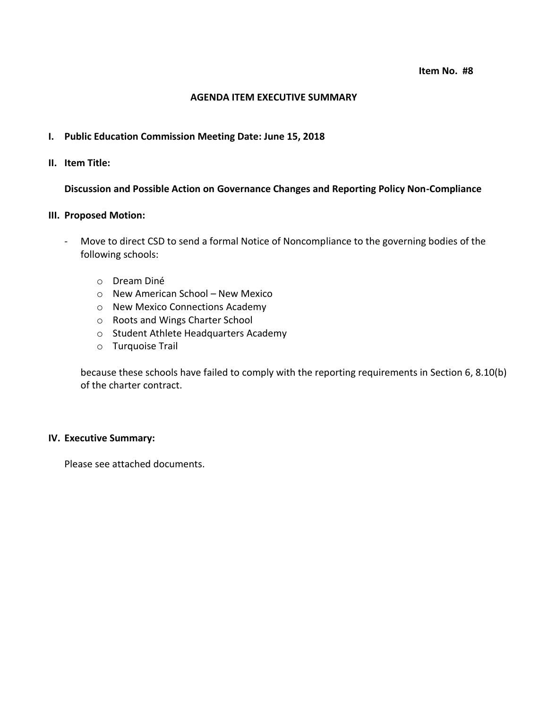### **AGENDA ITEM EXECUTIVE SUMMARY**

## **I. Public Education Commission Meeting Date: June 15, 2018**

**II. Item Title:** 

## **Discussion and Possible Action on Governance Changes and Reporting Policy Non-Compliance**

### **III. Proposed Motion:**

- Move to direct CSD to send a formal Notice of Noncompliance to the governing bodies of the following schools:
	- o Dream Diné
	- o New American School New Mexico
	- o New Mexico Connections Academy
	- o Roots and Wings Charter School
	- o Student Athlete Headquarters Academy
	- o Turquoise Trail

because these schools have failed to comply with the reporting requirements in Section 6, 8.10(b) of the charter contract.

# **IV. Executive Summary:**

Please see attached documents.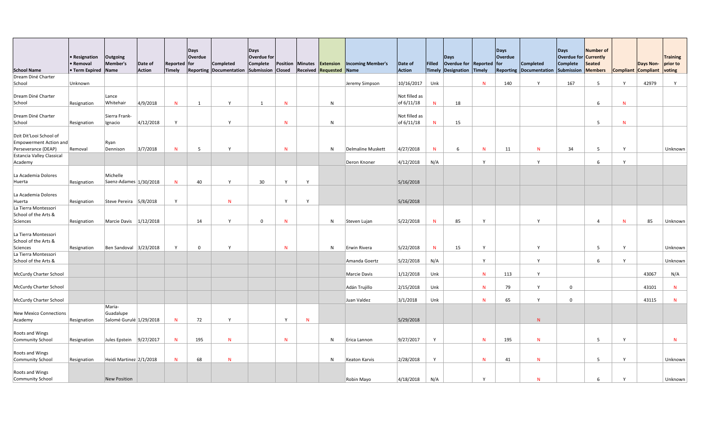|                                                                                                                  | • Resignation<br>• Removal | <b>Outgoing</b><br>Member's          | Date of       | <b>Reported for</b> | <b>Days</b><br>Overdue | <b>Completed</b>               | Days<br>Overdue for<br>Complete |               |              | Position Minutes <b>Extension</b> | <b>Incoming Member's</b>          | Date of                       | Filled       | Days<br>Overdue for Reported for |                              | Days<br>Overdue | <b>Completed</b>               | Days<br><b>Overdue for Currently</b><br><b>Complete</b> | Number of<br>Seated |        | Days Non- prior to         | <b>Training</b> |
|------------------------------------------------------------------------------------------------------------------|----------------------------|--------------------------------------|---------------|---------------------|------------------------|--------------------------------|---------------------------------|---------------|--------------|-----------------------------------|-----------------------------------|-------------------------------|--------------|----------------------------------|------------------------------|-----------------|--------------------------------|---------------------------------------------------------|---------------------|--------|----------------------------|-----------------|
| <b>School Name</b>                                                                                               | <b>• Term Expired Name</b> |                                      | <b>Action</b> | Timely              |                        | <b>Reporting Documentation</b> | Submission                      | <b>Closed</b> |              | <b>Received Requested Name</b>    |                                   | Action                        |              | Timely Designation Timely        |                              |                 | <b>Reporting Documentation</b> | Submission                                              | Members             |        | Compliant Compliant voting |                 |
| Dream Diné Charter                                                                                               |                            |                                      |               |                     |                        |                                |                                 |               |              |                                   |                                   |                               |              |                                  |                              |                 |                                |                                                         |                     |        |                            |                 |
| School                                                                                                           | Unknown                    |                                      |               |                     |                        |                                |                                 |               |              |                                   | Jeremy Simpson                    | 10/16/2017                    | Unk          |                                  | $\mathsf{N}$                 | 140             | Y                              | 167                                                     | $5\overline{)}$     |        | 42979                      |                 |
| Dream Diné Charter<br>School                                                                                     | Resignation                | Lance<br>Whitehair                   | 4/9/2018      | N                   |                        | $\mathsf{v}$                   |                                 | N             |              | $\mathsf{N}$                      |                                   | Not filled as<br>of $6/11/18$ | N            | 18                               |                              |                 |                                |                                                         | 6                   |        |                            |                 |
| Dream Diné Charter<br>School                                                                                     | Resignation                | Sierra Frank-<br>Ignacio             | 4/12/2018     | Y                   |                        | <b>V</b>                       |                                 | N             |              | $\mathsf{N}$                      |                                   | Not filled as<br>of $6/11/18$ | $\mathsf{N}$ | 15                               |                              |                 |                                |                                                         | 5                   |        |                            |                 |
| Dzit Dit'Looi School of<br>Empowerment Action and<br>Perseverance (DEAP)<br>Estancia Valley Classical<br>Academy | Removal                    | $\vert$ Ryan<br>Dennison             | 3/7/2018      | N                   | -5                     | $\mathbf{v}$                   |                                 | $\mathsf{N}$  |              | N                                 | Delmaline Muskett<br>Deron Knoner | 4/27/2018<br> 4/12/2018       | N<br>N/A     | -6                               | $\mathsf{N}$<br>$\mathsf{v}$ | 11              | N<br>$\mathsf{Y}$              | 34                                                      | 5                   | $\vee$ |                            | Unknown         |
| La Academia Dolores<br>Huerta                                                                                    | Resignation                | Michelle<br>Saenz-Adames 1/30/2018   |               | N                   | 40                     | $\mathsf{v}$                   | 30                              | Y             | $\mathsf{v}$ |                                   |                                   | 5/16/2018                     |              |                                  |                              |                 |                                |                                                         |                     |        |                            |                 |
| La Academia Dolores<br>Huerta                                                                                    | Resignation                | Steve Pereira $ 5/8/2018 $           |               | Y                   |                        | N                              |                                 | Y             |              |                                   |                                   | 5/16/2018                     |              |                                  |                              |                 |                                |                                                         |                     |        |                            |                 |
| La Tierra Montessori<br>School of the Arts &<br>Sciences                                                         | Resignation                | Marcie Davis $\vert 1/12/2018 \vert$ |               |                     | 14                     | $\mathsf{v}$                   | $\Omega$                        | N             |              | N                                 | Steven Lujan                      | 5/22/2018                     | $\mathsf{N}$ | 85                               | $\mathsf{v}$                 |                 | Y                              |                                                         |                     |        | 85                         | Unknown         |
| La Tierra Montessori<br>School of the Arts &                                                                     |                            |                                      |               | $\mathsf{Y}$        |                        |                                |                                 |               |              |                                   |                                   |                               |              |                                  |                              |                 |                                |                                                         |                     |        |                            |                 |
| Sciences                                                                                                         | Resignation                | Ben Sandoval 3/23/2018               |               |                     | $\overline{0}$         |                                |                                 | N             |              | $\mathsf{N}$                      | Erwin Rivera                      | 5/22/2018                     | N            | 15                               | $\mathsf{v}$                 |                 | Y                              |                                                         | 5                   |        |                            | Unknown         |
| La Tierra Montessori<br>School of the Arts &                                                                     |                            |                                      |               |                     |                        |                                |                                 |               |              |                                   | Amanda Goertz                     | 5/22/2018                     | N/A          |                                  | Y                            |                 | Y                              |                                                         | 6                   |        |                            | Unknown         |
| McCurdy Charter School                                                                                           |                            |                                      |               |                     |                        |                                |                                 |               |              |                                   | Marcie Davis                      | 1/12/2018                     | Unk          |                                  | $N_{\odot}$                  | 113             | Y                              |                                                         |                     |        | 43067                      | N/A             |
| McCurdy Charter School                                                                                           |                            |                                      |               |                     |                        |                                |                                 |               |              |                                   | Adán Trujillo                     | 2/15/2018                     | Unk          |                                  | $N_{\odot}$                  | 79              | Y                              | $\overline{0}$                                          |                     |        | 43101                      | N               |
| McCurdy Charter School                                                                                           |                            | Maria-                               |               |                     |                        |                                |                                 |               |              |                                   | Juan Valdez                       | 3/1/2018                      | Unk          |                                  | $\mathsf{N}$                 | 65              | Y                              | $\mathbf{0}$                                            |                     |        | 43115                      | N               |
| New Mexico Connections<br>Academy                                                                                | Resignation                | Guadalupe<br>Salomé Gurulé 1/29/2018 |               | N                   | 72                     | $\mathsf{v}$                   |                                 | Y             | $\mathbf N$  |                                   |                                   | 5/29/2018                     |              |                                  |                              |                 | N                              |                                                         |                     |        |                            |                 |
| Roots and Wings<br>Community School                                                                              | Resignation                | Jules Epstein                        | 9/27/2017     | N                   | 195                    | N                              |                                 | N             |              | N                                 | Erica Lannon                      | 9/27/2017                     | $\mathsf{Y}$ |                                  | N                            | 195             | N                              |                                                         | 5                   |        |                            | N               |
| Roots and Wings<br>Community School                                                                              | Resignation                | Heidi Martinez 2/1/2018              |               | N                   | 68                     | N.                             |                                 |               |              | N                                 | Keaton Karvis                     | 2/28/2018                     | $\mathsf{Y}$ |                                  | N                            | 41              | N                              |                                                         | 5                   |        |                            | Unknown         |
| Roots and Wings<br>Community School                                                                              |                            | New Position                         |               |                     |                        |                                |                                 |               |              |                                   | Robin Mayo                        | 4/18/2018                     | N/A          |                                  | $\boldsymbol{\mathcal{N}}$   |                 | N                              |                                                         |                     |        |                            | Unknown         |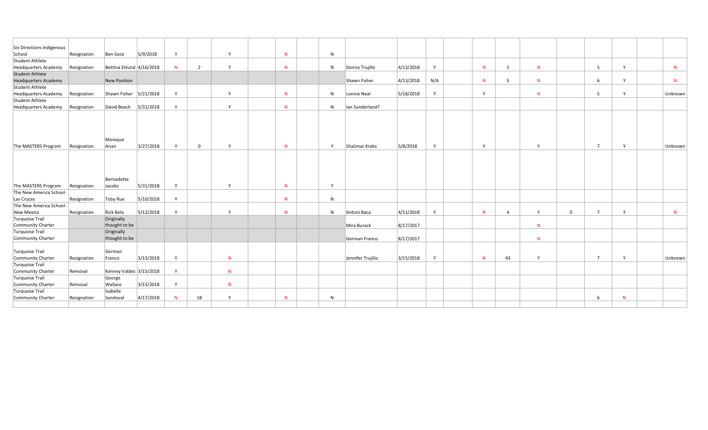| Six Directions Indigenous   |             |                            |           |              |                |              |   |              |                   |           |              |              |    |              |          |                |              |              |
|-----------------------------|-------------|----------------------------|-----------|--------------|----------------|--------------|---|--------------|-------------------|-----------|--------------|--------------|----|--------------|----------|----------------|--------------|--------------|
| School                      | Resignation | Ben Soce                   | 5/9/2018  | Y            |                | $\mathsf{Y}$ | N | N            |                   |           |              |              |    |              |          |                |              |              |
| Student Athlete             |             |                            |           |              |                |              |   |              |                   |           |              |              |    |              |          |                |              |              |
| Headquarters Academy        | Resignation | Bettina Eklund 4/16/2018   |           | N            | $\overline{2}$ | $\mathbf{v}$ | N | N            | Donna Trujillo    | 4/13/2018 | $\mathsf{v}$ | N            |    | N            |          |                | $\mathbf{v}$ | N            |
| Student Athlete             |             |                            |           |              |                |              |   |              |                   |           |              |              |    |              |          |                |              |              |
| <b>Headquarters Academy</b> |             | New Position               |           |              |                |              |   |              | Shawn Fisher      | 4/13/2018 | N/A          | N            |    | $\mathsf{N}$ |          | 6.             |              | $\mathsf{N}$ |
| Student Athlete             |             |                            |           |              |                |              |   |              |                   |           |              |              |    |              |          |                |              |              |
| Headquarters Academy        | Resignation | Shawn Fisher $ 5/21/2018 $ |           | $\mathsf{v}$ |                | Y            | N | N            | Lonnie Neal       | 5/18/2018 | $\mathsf{v}$ | Y            |    | N            |          |                |              | Unknown      |
| Student Athlete             |             |                            |           |              |                |              |   |              |                   |           |              |              |    |              |          |                |              |              |
| Headquarters Academy        | Resignation | David Beach                | 5/31/2018 | Y            |                | Y            | N | N            | Ian Sunderland?   |           |              |              |    |              |          |                |              |              |
| The MASTERS Program         | Resignation | Monique<br>Anair           | 3/27/2018 | Y            | $\mathbf{0}$   | Y            | N | $\mathsf{v}$ | Shalimar Krebs    | 5/8/2018  | $\mathsf{v}$ | $\mathsf{Y}$ |    | $\mathsf{Y}$ |          | $\overline{7}$ | N            | Unknown      |
|                             |             |                            |           |              |                |              |   |              |                   |           |              |              |    |              |          |                |              |              |
| The MASTERS Program         | Resignation | Bernadette<br>Jacobs       | 5/31/2018 | Y            |                | $\mathsf{Y}$ | N | $\mathbf v$  |                   |           |              |              |    |              |          |                |              |              |
| The New America School-     |             |                            |           |              |                |              |   |              |                   |           |              |              |    |              |          |                |              |              |
| Las Cruces                  | Resignation | Toby Rue                   | 5/10/2018 | $\mathsf{Y}$ |                |              | N | N            |                   |           |              |              |    |              |          |                |              |              |
| The New America School-     |             |                            |           |              |                |              |   |              |                   |           |              |              |    |              |          |                |              |              |
| New Mexico                  | Resignation | Rick Bela                  | 5/12/2018 | $\mathbf v$  |                | $\mathsf{v}$ | N | N            | Antoni Baca       | 4/11/2018 | $\mathbf v$  | N            |    | $\mathsf{Y}$ | $\Omega$ |                | $\checkmark$ | N            |
| Turquoise Trail             |             | Originally                 |           |              |                |              |   |              |                   |           |              |              |    |              |          |                |              |              |
| Community Charter           |             | thought to be              |           |              |                |              |   |              | Mira Burack       | 8/17/2017 |              |              |    | $\mathsf{N}$ |          |                |              |              |
| Turquoise Trail             |             | Originally                 |           |              |                |              |   |              |                   |           |              |              |    |              |          |                |              |              |
| Community Charter           |             | thought to be              |           |              |                |              |   |              | German Franco     | 8/17/2017 |              |              |    | N            |          |                |              |              |
| Turquoise Trail             |             | German                     |           |              |                |              |   |              |                   |           |              |              |    |              |          |                |              |              |
| Community Charter           | Resignation | Franco                     | 3/15/2018 | Y            |                | N            |   |              | Jennifer Trujillo | 3/15/2018 | Y            | N            | 43 | Y            |          | $\overline{ }$ | $\vee$       | Unknown      |
| Turquoise Trail             |             |                            |           |              |                |              |   |              |                   |           |              |              |    |              |          |                |              |              |
| Community Charter           | Removal     | Kenney Valdez 3/15/2018    |           | Y            |                | N            |   |              |                   |           |              |              |    |              |          |                |              |              |
| Turquoise Trail             |             | George                     |           |              |                |              |   |              |                   |           |              |              |    |              |          |                |              |              |
| Community Charter           | Removal     | Wallace                    | 3/15/2018 | Y            |                | N            |   |              |                   |           |              |              |    |              |          |                |              |              |
| Turquoise Trail             |             | Isabelle                   |           |              |                |              |   |              |                   |           |              |              |    |              |          |                |              |              |
| Community Charter           | Resignation | Sandoval                   | 4/17/2018 | N            | 18             | <b>Y</b>     | N | $\mathsf{N}$ |                   |           |              |              |    |              |          | 6              | N            |              |
|                             |             |                            |           |              |                |              |   |              |                   |           |              |              |    |              |          |                |              |              |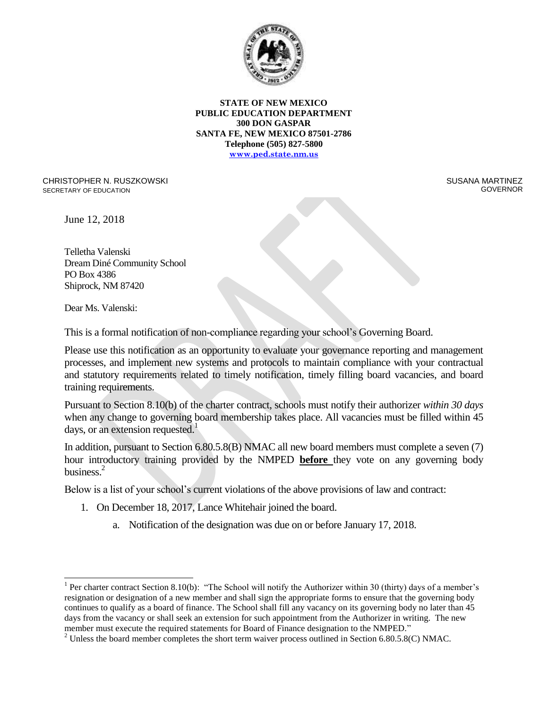

CHRISTOPHER N. RUSZKOWSKI SECRETARY OF EDUCATION

 SUSANA MARTINEZ GOVERNOR

June 12, 2018

Telletha Valenski Dream Diné Community School PO Box 4386 Shiprock, NM 87420

Dear Ms. Valenski:

 $\overline{a}$ 

This is a formal notification of non-compliance regarding your school's Governing Board.

Please use this notification as an opportunity to evaluate your governance reporting and management processes, and implement new systems and protocols to maintain compliance with your contractual and statutory requirements related to timely notification, timely filling board vacancies, and board training requirements.

Pursuant to Section 8.10(b) of the charter contract, schools must notify their authorizer *within 30 days* when any change to governing board membership takes place. All vacancies must be filled within 45 days, or an extension requested.<sup>1</sup>

In addition, pursuant to Section 6.80.5.8(B) NMAC all new board members must complete a seven (7) hour introductory training provided by the NMPED **before** they vote on any governing body business.<sup>2</sup>

Below is a list of your school's current violations of the above provisions of law and contract:

- 1. On December 18, 2017, Lance Whitehair joined the board.
	- a. Notification of the designation was due on or before January 17, 2018.

<sup>&</sup>lt;sup>1</sup> Per charter contract Section 8.10(b): "The School will notify the Authorizer within 30 (thirty) days of a member's resignation or designation of a new member and shall sign the appropriate forms to ensure that the governing body continues to qualify as a board of finance. The School shall fill any vacancy on its governing body no later than 45 days from the vacancy or shall seek an extension for such appointment from the Authorizer in writing. The new member must execute the required statements for Board of Finance designation to the NMPED."

<sup>&</sup>lt;sup>2</sup> Unless the board member completes the short term waiver process outlined in Section 6.80.5.8(C) NMAC.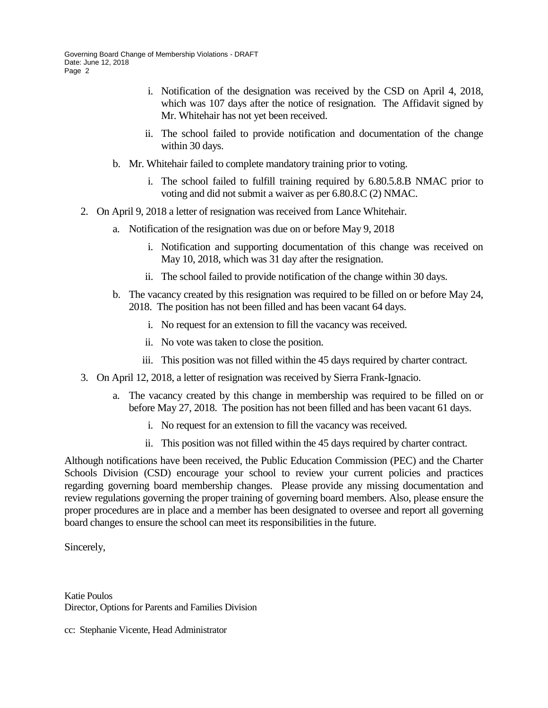- i. Notification of the designation was received by the CSD on April 4, 2018, which was 107 days after the notice of resignation. The Affidavit signed by Mr. Whitehair has not yet been received.
- ii. The school failed to provide notification and documentation of the change within 30 days.
- b. Mr. Whitehair failed to complete mandatory training prior to voting.
	- i. The school failed to fulfill training required by 6.80.5.8.B NMAC prior to voting and did not submit a waiver as per 6.80.8.C (2) NMAC.
- 2. On April 9, 2018 a letter of resignation was received from Lance Whitehair.
	- a. Notification of the resignation was due on or before May 9, 2018
		- i. Notification and supporting documentation of this change was received on May 10, 2018, which was 31 day after the resignation.
		- ii. The school failed to provide notification of the change within 30 days.
	- b. The vacancy created by this resignation was required to be filled on or before May 24, 2018. The position has not been filled and has been vacant 64 days.
		- i. No request for an extension to fill the vacancy was received.
		- ii. No vote was taken to close the position.
		- iii. This position was not filled within the 45 days required by charter contract.
- 3. On April 12, 2018, a letter of resignation was received by Sierra Frank-Ignacio.
	- a. The vacancy created by this change in membership was required to be filled on or before May 27, 2018. The position has not been filled and has been vacant 61 days.
		- i. No request for an extension to fill the vacancy was received.
		- ii. This position was not filled within the 45 days required by charter contract.

Although notifications have been received, the Public Education Commission (PEC) and the Charter Schools Division (CSD) encourage your school to review your current policies and practices regarding governing board membership changes. Please provide any missing documentation and review regulations governing the proper training of governing board members. Also, please ensure the proper procedures are in place and a member has been designated to oversee and report all governing board changes to ensure the school can meet its responsibilities in the future.

Sincerely,

Katie Poulos Director, Options for Parents and Families Division

cc: Stephanie Vicente, Head Administrator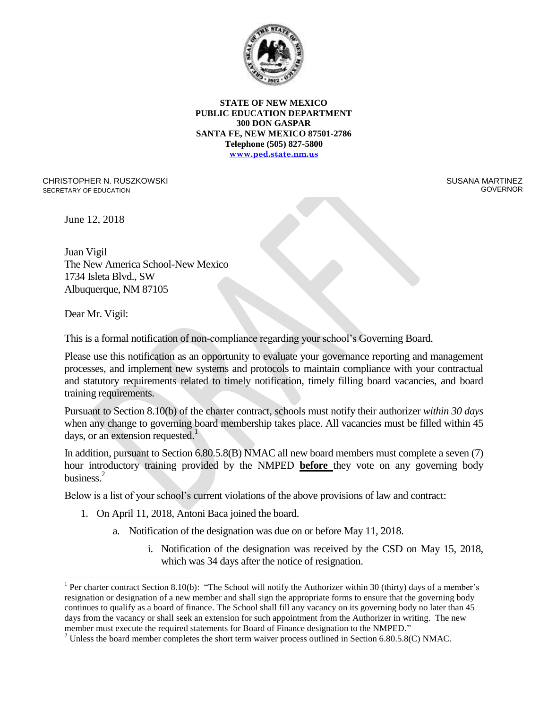

CHRISTOPHER N. RUSZKOWSKI SECRETARY OF EDUCATION

 SUSANA MARTINEZ GOVERNOR

June 12, 2018

Juan Vigil The New America School-New Mexico 1734 Isleta Blvd., SW Albuquerque, NM 87105

Dear Mr. Vigil:

 $\overline{a}$ 

This is a formal notification of non-compliance regarding your school's Governing Board.

Please use this notification as an opportunity to evaluate your governance reporting and management processes, and implement new systems and protocols to maintain compliance with your contractual and statutory requirements related to timely notification, timely filling board vacancies, and board training requirements.

Pursuant to Section 8.10(b) of the charter contract, schools must notify their authorizer *within 30 days* when any change to governing board membership takes place. All vacancies must be filled within 45 days, or an extension requested.<sup>1</sup>

In addition, pursuant to Section 6.80.5.8(B) NMAC all new board members must complete a seven (7) hour introductory training provided by the NMPED **before** they vote on any governing body business.<sup>2</sup>

Below is a list of your school's current violations of the above provisions of law and contract:

- 1. On April 11, 2018, Antoni Baca joined the board.
	- a. Notification of the designation was due on or before May 11, 2018.
		- i. Notification of the designation was received by the CSD on May 15, 2018, which was 34 days after the notice of resignation.

<sup>&</sup>lt;sup>1</sup> Per charter contract Section 8.10(b): "The School will notify the Authorizer within 30 (thirty) days of a member's resignation or designation of a new member and shall sign the appropriate forms to ensure that the governing body continues to qualify as a board of finance. The School shall fill any vacancy on its governing body no later than 45 days from the vacancy or shall seek an extension for such appointment from the Authorizer in writing. The new member must execute the required statements for Board of Finance designation to the NMPED."

<sup>&</sup>lt;sup>2</sup> Unless the board member completes the short term waiver process outlined in Section 6.80.5.8(C) NMAC.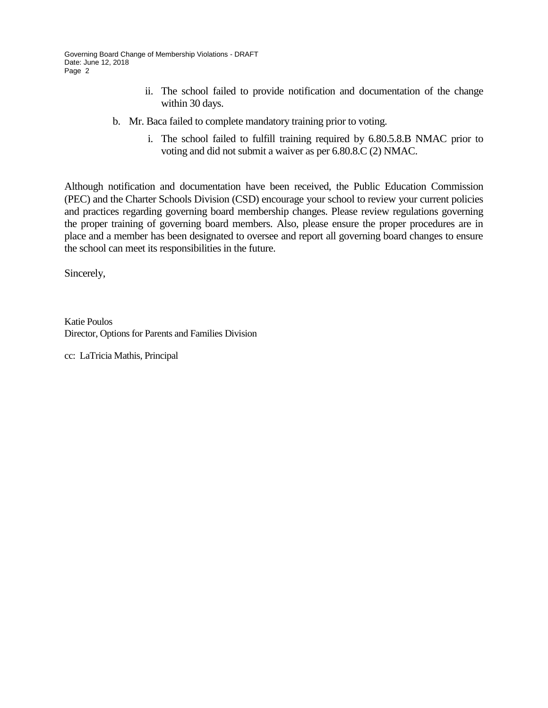- ii. The school failed to provide notification and documentation of the change within 30 days.
- b. Mr. Baca failed to complete mandatory training prior to voting.
	- i. The school failed to fulfill training required by 6.80.5.8.B NMAC prior to voting and did not submit a waiver as per 6.80.8.C (2) NMAC.

Although notification and documentation have been received, the Public Education Commission (PEC) and the Charter Schools Division (CSD) encourage your school to review your current policies and practices regarding governing board membership changes. Please review regulations governing the proper training of governing board members. Also, please ensure the proper procedures are in place and a member has been designated to oversee and report all governing board changes to ensure the school can meet its responsibilities in the future.

Sincerely,

Katie Poulos Director, Options for Parents and Families Division

cc: LaTricia Mathis, Principal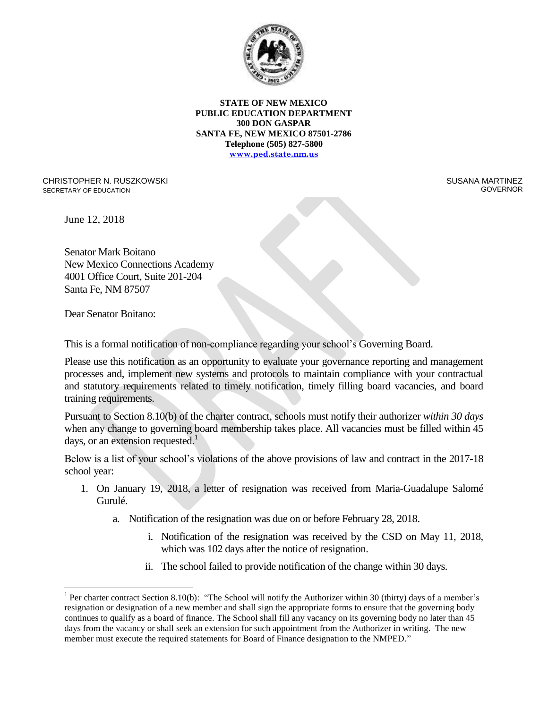

CHRISTOPHER N. RUSZKOWSKI SECRETARY OF EDUCATION

 SUSANA MARTINEZ GOVERNOR

June 12, 2018

Senator Mark Boitano New Mexico Connections Academy 4001 Office Court, Suite 201-204 Santa Fe, NM 87507

Dear Senator Boitano:

 $\overline{a}$ 

This is a formal notification of non-compliance regarding your school's Governing Board.

Please use this notification as an opportunity to evaluate your governance reporting and management processes and, implement new systems and protocols to maintain compliance with your contractual and statutory requirements related to timely notification, timely filling board vacancies, and board training requirements.

Pursuant to Section 8.10(b) of the charter contract, schools must notify their authorizer *within 30 days* when any change to governing board membership takes place. All vacancies must be filled within 45 days, or an extension requested.<sup>1</sup>

Below is a list of your school's violations of the above provisions of law and contract in the 2017-18 school year:

- 1. On January 19, 2018, a letter of resignation was received from Maria-Guadalupe Salomé Gurulé.
	- a. Notification of the resignation was due on or before February 28, 2018.
		- i. Notification of the resignation was received by the CSD on May 11, 2018, which was 102 days after the notice of resignation.
		- ii. The school failed to provide notification of the change within 30 days.

<sup>&</sup>lt;sup>1</sup> Per charter contract Section 8.10(b): "The School will notify the Authorizer within 30 (thirty) days of a member's resignation or designation of a new member and shall sign the appropriate forms to ensure that the governing body continues to qualify as a board of finance. The School shall fill any vacancy on its governing body no later than 45 days from the vacancy or shall seek an extension for such appointment from the Authorizer in writing. The new member must execute the required statements for Board of Finance designation to the NMPED."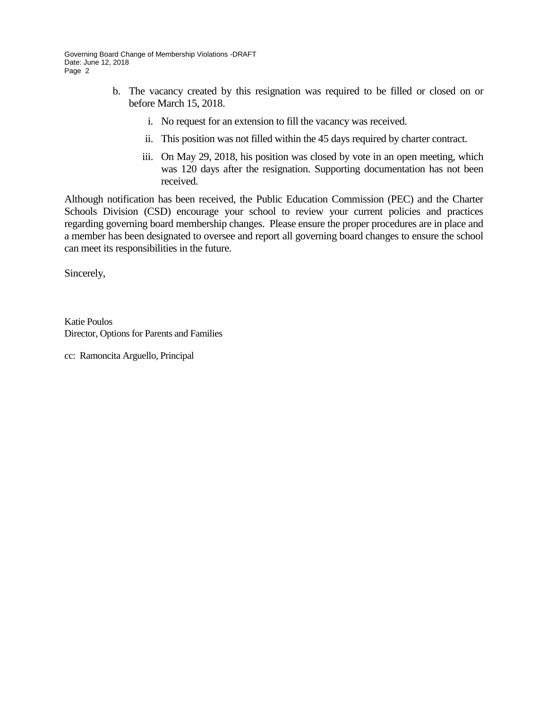- b. The vacancy created by this resignation was required to be filled or closed on or before March 15, 2018.
	- i. No request for an extension to fill the vacancy was received.
	- ii. This position was not filled within the 45 days required by charter contract.
	- iii. On May 29, 2018, his position was closed by vote in an open meeting, which was 120 days after the resignation. Supporting documentation has not been received.

Although notification has been received, the Public Education Commission (PEC) and the Charter Schools Division (CSD) encourage your school to review your current policies and practices regarding governing board membership changes. Please ensure the proper procedures are in place and a member has been designated to oversee and report all governing board changes to ensure the school can meet its responsibilities in the future.

Sincerely,

Katie Poulos Director, Options for Parents and Families

cc: Ramoncita Arguello, Principal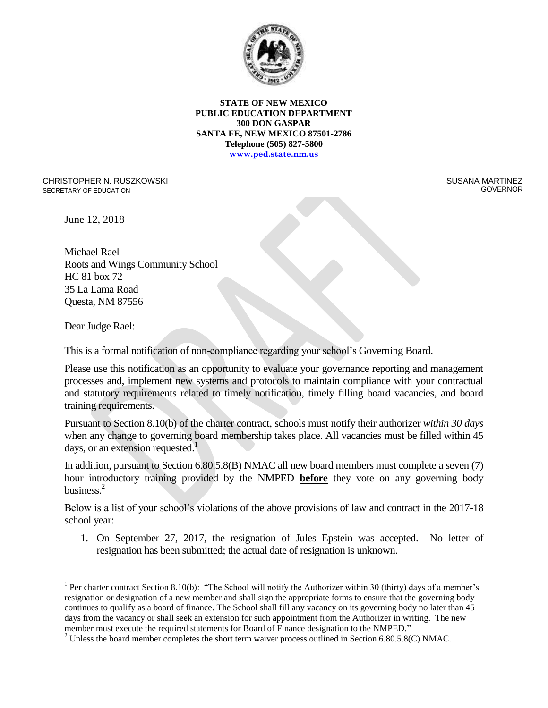

CHRISTOPHER N. RUSZKOWSKI SECRETARY OF EDUCATION

 SUSANA MARTINEZ GOVERNOR

June 12, 2018

Michael Rael Roots and Wings Community School HC 81 box 72 35 La Lama Road Questa, NM 87556

Dear Judge Rael:

 $\overline{a}$ 

This is a formal notification of non-compliance regarding your school's Governing Board.

Please use this notification as an opportunity to evaluate your governance reporting and management processes and, implement new systems and protocols to maintain compliance with your contractual and statutory requirements related to timely notification, timely filling board vacancies, and board training requirements.

Pursuant to Section 8.10(b) of the charter contract, schools must notify their authorizer *within 30 days* when any change to governing board membership takes place. All vacancies must be filled within 45 days, or an extension requested.<sup>1</sup>

In addition, pursuant to Section 6.80.5.8(B) NMAC all new board members must complete a seven (7) hour introductory training provided by the NMPED **before** they vote on any governing body business.<sup>2</sup>

Below is a list of your school's violations of the above provisions of law and contract in the 2017-18 school year:

1. On September 27, 2017, the resignation of Jules Epstein was accepted. No letter of resignation has been submitted; the actual date of resignation is unknown.

<sup>&</sup>lt;sup>1</sup> Per charter contract Section 8.10(b): "The School will notify the Authorizer within 30 (thirty) days of a member's resignation or designation of a new member and shall sign the appropriate forms to ensure that the governing body continues to qualify as a board of finance. The School shall fill any vacancy on its governing body no later than 45 days from the vacancy or shall seek an extension for such appointment from the Authorizer in writing. The new member must execute the required statements for Board of Finance designation to the NMPED."

<sup>&</sup>lt;sup>2</sup> Unless the board member completes the short term waiver process outlined in Section 6.80.5.8(C) NMAC.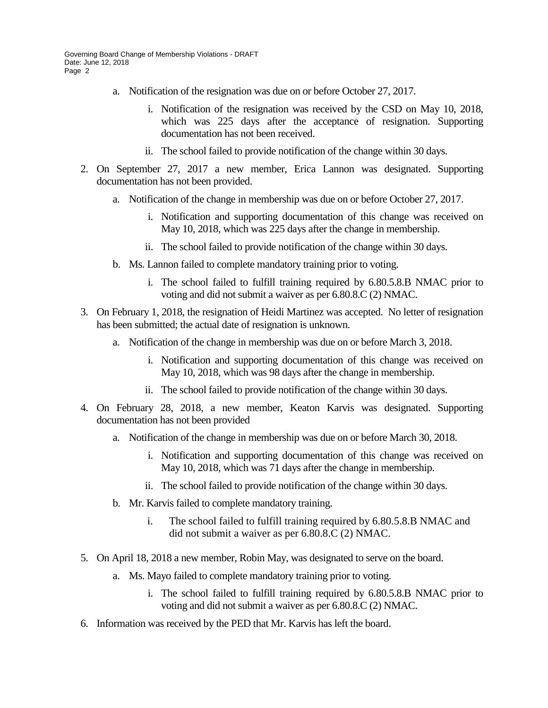- a. Notification of the resignation was due on or before October 27, 2017.
	- i. Notification of the resignation was received by the CSD on May 10, 2018, which was 225 days after the acceptance of resignation. Supporting documentation has not been received.
	- ii. The school failed to provide notification of the change within 30 days.
- 2. On September 27, 2017 a new member, Erica Lannon was designated. Supporting documentation has not been provided.
	- a. Notification of the change in membership was due on or before October 27, 2017.
		- i. Notification and supporting documentation of this change was received on May 10, 2018, which was 225 days after the change in membership.
		- ii. The school failed to provide notification of the change within 30 days.
	- b. Ms. Lannon failed to complete mandatory training prior to voting.
		- i. The school failed to fulfill training required by 6.80.5.8.B NMAC prior to voting and did not submit a waiver as per 6.80.8.C (2) NMAC.
- 3. On February 1, 2018, the resignation of Heidi Martinez was accepted. No letter of resignation has been submitted; the actual date of resignation is unknown.
	- a. Notification of the change in membership was due on or before March 3, 2018.
		- i. Notification and supporting documentation of this change was received on May 10, 2018, which was 98 days after the change in membership.
		- ii. The school failed to provide notification of the change within 30 days.
- 4. On February 28, 2018, a new member, Keaton Karvis was designated. Supporting documentation has not been provided
	- a. Notification of the change in membership was due on or before March 30, 2018.
		- i. Notification and supporting documentation of this change was received on May 10, 2018, which was 71 days after the change in membership.
		- ii. The school failed to provide notification of the change within 30 days.
	- b. Mr. Karvis failed to complete mandatory training.
		- i. The school failed to fulfill training required by 6.80.5.8.B NMAC and did not submit a waiver as per 6.80.8.C (2) NMAC.
- 5. On April 18, 2018 a new member, Robin May, was designated to serve on the board.
	- a. Ms. Mayo failed to complete mandatory training prior to voting.
		- i. The school failed to fulfill training required by 6.80.5.8.B NMAC prior to voting and did not submit a waiver as per 6.80.8.C (2) NMAC.
- 6. Information was received by the PED that Mr. Karvis has left the board.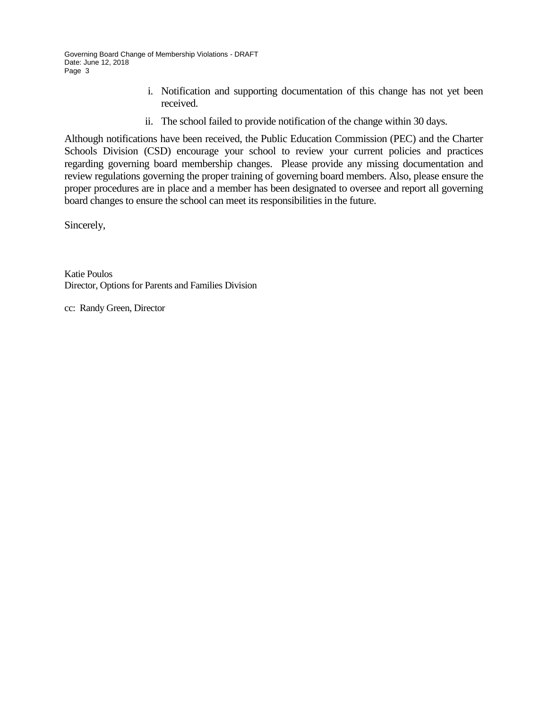- i. Notification and supporting documentation of this change has not yet been received.
- ii. The school failed to provide notification of the change within 30 days.

Although notifications have been received, the Public Education Commission (PEC) and the Charter Schools Division (CSD) encourage your school to review your current policies and practices regarding governing board membership changes. Please provide any missing documentation and review regulations governing the proper training of governing board members. Also, please ensure the proper procedures are in place and a member has been designated to oversee and report all governing board changes to ensure the school can meet its responsibilities in the future.

Sincerely,

Katie Poulos Director, Options for Parents and Families Division

cc: Randy Green, Director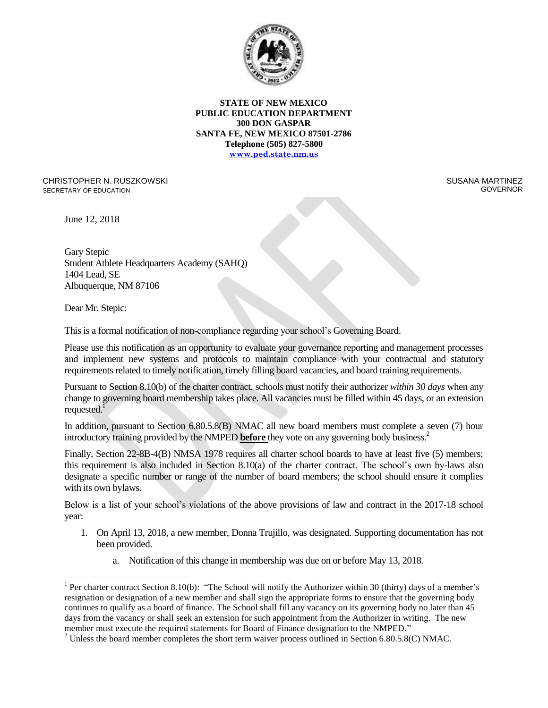

CHRISTOPHER N. RUSZKOWSKI SECRETARY OF EDUCATION

 SUSANA MARTINEZ GOVERNOR

June 12, 2018

Gary Stepic Student Athlete Headquarters Academy (SAHQ) 1404 Lead, SE Albuquerque, NM 87106

Dear Mr. Stepic:

 $\overline{a}$ 

This is a formal notification of non-compliance regarding your school's Governing Board.

Please use this notification as an opportunity to evaluate your governance reporting and management processes and implement new systems and protocols to maintain compliance with your contractual and statutory requirements related to timely notification, timely filling board vacancies, and board training requirements.

Pursuant to Section 8.10(b) of the charter contract, schools must notify their authorizer *within 30 days* when any change to governing board membership takes place. All vacancies must be filled within 45 days, or an extension requested.<sup>1</sup>

In addition, pursuant to Section 6.80.5.8(B) NMAC all new board members must complete a seven (7) hour introductory training provided by the NMPED **before** they vote on any governing body business.<sup>2</sup>

Finally, Section 22-8B-4(B) NMSA 1978 requires all charter school boards to have at least five (5) members; this requirement is also included in Section 8.10(a) of the charter contract. The school's own by-laws also designate a specific number or range of the number of board members; the school should ensure it complies with its own bylaws.

Below is a list of your school's violations of the above provisions of law and contract in the 2017-18 school year:

- 1. On April 13, 2018, a new member, Donna Trujillo, was designated. Supporting documentation has not been provided.
	- a. Notification of this change in membership was due on or before May 13, 2018.

<sup>&</sup>lt;sup>1</sup> Per charter contract Section 8.10(b): "The School will notify the Authorizer within 30 (thirty) days of a member's resignation or designation of a new member and shall sign the appropriate forms to ensure that the governing body continues to qualify as a board of finance. The School shall fill any vacancy on its governing body no later than 45 days from the vacancy or shall seek an extension for such appointment from the Authorizer in writing. The new member must execute the required statements for Board of Finance designation to the NMPED."

<sup>&</sup>lt;sup>2</sup> Unless the board member completes the short term waiver process outlined in Section 6.80.5.8(C) NMAC.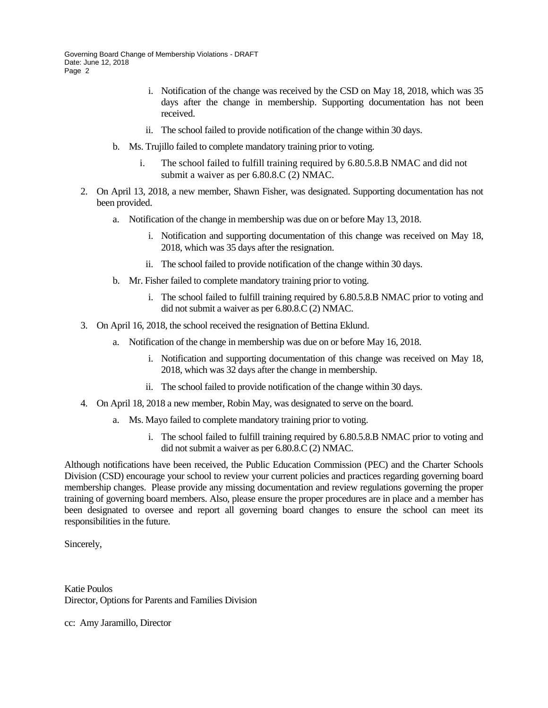- i. Notification of the change was received by the CSD on May 18, 2018, which was 35 days after the change in membership. Supporting documentation has not been received.
- ii. The school failed to provide notification of the change within 30 days.
- b. Ms. Trujillo failed to complete mandatory training prior to voting.
	- i. The school failed to fulfill training required by 6.80.5.8.B NMAC and did not submit a waiver as per 6.80.8.C (2) NMAC.
- 2. On April 13, 2018, a new member, Shawn Fisher, was designated. Supporting documentation has not been provided.
	- a. Notification of the change in membership was due on or before May 13, 2018.
		- i. Notification and supporting documentation of this change was received on May 18, 2018, which was 35 days after the resignation.
		- ii. The school failed to provide notification of the change within 30 days.
	- b. Mr. Fisher failed to complete mandatory training prior to voting.
		- i. The school failed to fulfill training required by 6.80.5.8.B NMAC prior to voting and did not submit a waiver as per 6.80.8.C (2) NMAC.
- 3. On April 16, 2018, the school received the resignation of Bettina Eklund.
	- a. Notification of the change in membership was due on or before May 16, 2018.
		- i. Notification and supporting documentation of this change was received on May 18, 2018, which was 32 days after the change in membership.
		- ii. The school failed to provide notification of the change within 30 days.
- 4. On April 18, 2018 a new member, Robin May, was designated to serve on the board.
	- a. Ms. Mayo failed to complete mandatory training prior to voting.
		- i. The school failed to fulfill training required by 6.80.5.8.B NMAC prior to voting and did not submit a waiver as per 6.80.8.C (2) NMAC.

Although notifications have been received, the Public Education Commission (PEC) and the Charter Schools Division (CSD) encourage your school to review your current policies and practices regarding governing board membership changes. Please provide any missing documentation and review regulations governing the proper training of governing board members. Also, please ensure the proper procedures are in place and a member has been designated to oversee and report all governing board changes to ensure the school can meet its responsibilities in the future.

Sincerely,

Katie Poulos Director, Options for Parents and Families Division

cc: Amy Jaramillo, Director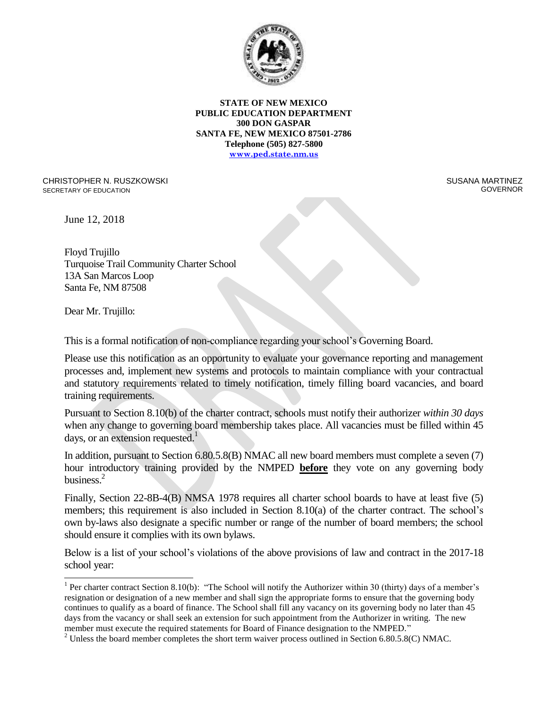

CHRISTOPHER N. RUSZKOWSKI SECRETARY OF EDUCATION

 SUSANA MARTINEZ GOVERNOR

June 12, 2018

Floyd Trujillo Turquoise Trail Community Charter School 13A San Marcos Loop Santa Fe, NM 87508

Dear Mr. Trujillo:

 $\overline{a}$ 

This is a formal notification of non-compliance regarding your school's Governing Board.

Please use this notification as an opportunity to evaluate your governance reporting and management processes and, implement new systems and protocols to maintain compliance with your contractual and statutory requirements related to timely notification, timely filling board vacancies, and board training requirements.

Pursuant to Section 8.10(b) of the charter contract, schools must notify their authorizer *within 30 days* when any change to governing board membership takes place. All vacancies must be filled within 45 days, or an extension requested.<sup>1</sup>

In addition, pursuant to Section 6.80.5.8(B) NMAC all new board members must complete a seven (7) hour introductory training provided by the NMPED **before** they vote on any governing body business.<sup>2</sup>

Finally, Section 22-8B-4(B) NMSA 1978 requires all charter school boards to have at least five (5) members; this requirement is also included in Section 8.10(a) of the charter contract. The school's own by-laws also designate a specific number or range of the number of board members; the school should ensure it complies with its own bylaws.

Below is a list of your school's violations of the above provisions of law and contract in the 2017-18 school year:

<sup>&</sup>lt;sup>1</sup> Per charter contract Section 8.10(b): "The School will notify the Authorizer within 30 (thirty) days of a member's resignation or designation of a new member and shall sign the appropriate forms to ensure that the governing body continues to qualify as a board of finance. The School shall fill any vacancy on its governing body no later than 45 days from the vacancy or shall seek an extension for such appointment from the Authorizer in writing. The new member must execute the required statements for Board of Finance designation to the NMPED."

<sup>&</sup>lt;sup>2</sup> Unless the board member completes the short term waiver process outlined in Section 6.80.5.8(C) NMAC.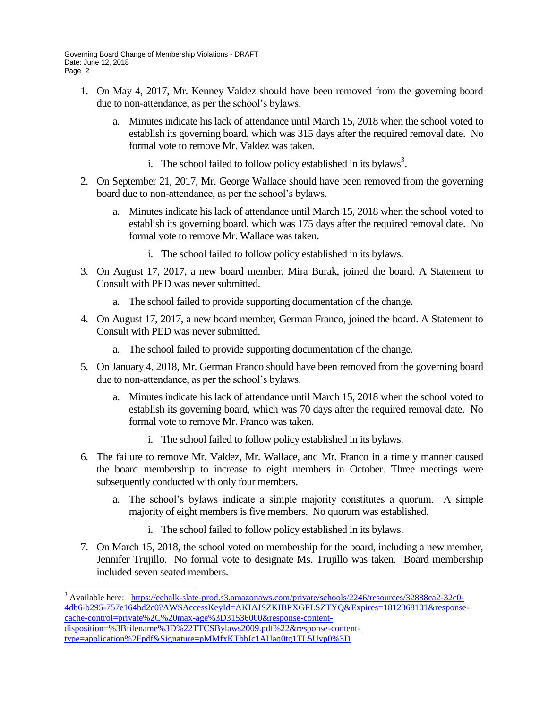$\overline{a}$ 

- 1. On May 4, 2017, Mr. Kenney Valdez should have been removed from the governing board due to non-attendance, as per the school's bylaws.
	- a. Minutes indicate his lack of attendance until March 15, 2018 when the school voted to establish its governing board, which was 315 days after the required removal date. No formal vote to remove Mr. Valdez was taken.
		- i. The school failed to follow policy established in its bylaws<sup>3</sup>.
- 2. On September 21, 2017, Mr. George Wallace should have been removed from the governing board due to non-attendance, as per the school's bylaws.
	- a. Minutes indicate his lack of attendance until March 15, 2018 when the school voted to establish its governing board, which was 175 days after the required removal date. No formal vote to remove Mr. Wallace was taken.
		- i. The school failed to follow policy established in its bylaws.
- 3. On August 17, 2017, a new board member, Mira Burak, joined the board. A Statement to Consult with PED was never submitted.
	- a. The school failed to provide supporting documentation of the change.
- 4. On August 17, 2017, a new board member, German Franco, joined the board. A Statement to Consult with PED was never submitted.
	- a. The school failed to provide supporting documentation of the change.
- 5. On January 4, 2018, Mr. German Franco should have been removed from the governing board due to non-attendance, as per the school's bylaws.
	- a. Minutes indicate his lack of attendance until March 15, 2018 when the school voted to establish its governing board, which was 70 days after the required removal date. No formal vote to remove Mr. Franco was taken.
		- i. The school failed to follow policy established in its bylaws.
- 6. The failure to remove Mr. Valdez, Mr. Wallace, and Mr. Franco in a timely manner caused the board membership to increase to eight members in October. Three meetings were subsequently conducted with only four members.
	- a. The school's bylaws indicate a simple majority constitutes a quorum. A simple majority of eight members is five members. No quorum was established.
		- i. The school failed to follow policy established in its bylaws.
- 7. On March 15, 2018, the school voted on membership for the board, including a new member, Jennifer Trujillo. No formal vote to designate Ms. Trujillo was taken. Board membership included seven seated members.

<sup>&</sup>lt;sup>3</sup> Available here: [https://echalk-slate-prod.s3.amazonaws.com/private/schools/2246/resources/32888ca2-32c0-](https://echalk-slate-prod.s3.amazonaws.com/private/schools/2246/resources/32888ca2-32c0-4db6-b295-757e164bd2c0?AWSAccessKeyId=AKIAJSZKIBPXGFLSZTYQ&Expires=1812368101&response-cache-control=private%2C%20max-age%3D31536000&response-content-disposition=%3Bfilename%3D%22TTCSBylaws2009.pdf%22&response-content-type=application%2Fpdf&Signature=pMMfxKTbbIc1AUaq0tg1TL5Uvp0%3D) [4db6-b295-757e164bd2c0?AWSAccessKeyId=AKIAJSZKIBPXGFLSZTYQ&Expires=1812368101&response](https://echalk-slate-prod.s3.amazonaws.com/private/schools/2246/resources/32888ca2-32c0-4db6-b295-757e164bd2c0?AWSAccessKeyId=AKIAJSZKIBPXGFLSZTYQ&Expires=1812368101&response-cache-control=private%2C%20max-age%3D31536000&response-content-disposition=%3Bfilename%3D%22TTCSBylaws2009.pdf%22&response-content-type=application%2Fpdf&Signature=pMMfxKTbbIc1AUaq0tg1TL5Uvp0%3D)[cache-control=private%2C%20max-age%3D31536000&response-content](https://echalk-slate-prod.s3.amazonaws.com/private/schools/2246/resources/32888ca2-32c0-4db6-b295-757e164bd2c0?AWSAccessKeyId=AKIAJSZKIBPXGFLSZTYQ&Expires=1812368101&response-cache-control=private%2C%20max-age%3D31536000&response-content-disposition=%3Bfilename%3D%22TTCSBylaws2009.pdf%22&response-content-type=application%2Fpdf&Signature=pMMfxKTbbIc1AUaq0tg1TL5Uvp0%3D)[disposition=%3Bfilename%3D%22TTCSBylaws2009.pdf%22&response-content](https://echalk-slate-prod.s3.amazonaws.com/private/schools/2246/resources/32888ca2-32c0-4db6-b295-757e164bd2c0?AWSAccessKeyId=AKIAJSZKIBPXGFLSZTYQ&Expires=1812368101&response-cache-control=private%2C%20max-age%3D31536000&response-content-disposition=%3Bfilename%3D%22TTCSBylaws2009.pdf%22&response-content-type=application%2Fpdf&Signature=pMMfxKTbbIc1AUaq0tg1TL5Uvp0%3D)[type=application%2Fpdf&Signature=pMMfxKTbbIc1AUaq0tg1TL5Uvp0%3D](https://echalk-slate-prod.s3.amazonaws.com/private/schools/2246/resources/32888ca2-32c0-4db6-b295-757e164bd2c0?AWSAccessKeyId=AKIAJSZKIBPXGFLSZTYQ&Expires=1812368101&response-cache-control=private%2C%20max-age%3D31536000&response-content-disposition=%3Bfilename%3D%22TTCSBylaws2009.pdf%22&response-content-type=application%2Fpdf&Signature=pMMfxKTbbIc1AUaq0tg1TL5Uvp0%3D)